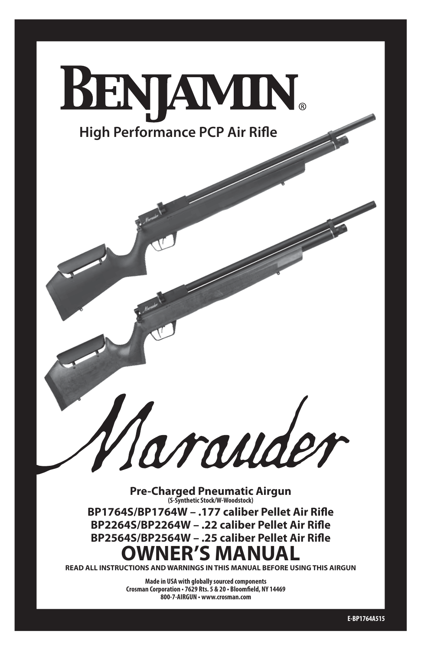

**Pre-Charged Pneumatic Airgun (S-Synthetic Stock/W-Woodstock)**

**BP1764S/BP1764W – .177 caliber Pellet Air Rifle BP2264S/BP2264W – .22 caliber Pellet Air Rifle BP2564S/BP2564W – .25 caliber Pellet Air Rifle OWNER'S MANUA** 

**READ ALL INSTRUCTIONS AND WARNINGS IN THIS MANUAL BEFORE USING THIS AIRGUN**

**Made in USA with globally sourced components Crosman Corporation • 7629 Rts. 5 & 20 • Bloomfield, NY 14469 800-7-AIRGUN • www.crosman.com**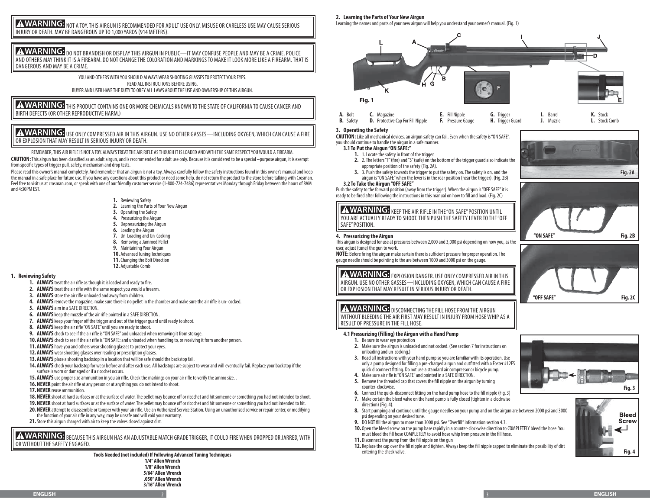**A WARNING:** NOT A TOY. THIS AIRGUN IS RECOMMENDED FOR ADULT USE ONLY. MISUSE OR CARELESS USE MAY CAUSE SERIOUS INJURY OR DEATH. MAY BE DANGEROUS UP TO 1,000 YARDS (914 METERS).

A WARNING: <sub>DO NOT</sub> BRANDISH OR DISPLAY THIS AIRGUN IN PUBLIC—IT MAY CONFUSE PEOPLE AND MAY BE A CRIME. POLICE AND OTHERS MAY THINK IT IS A FIREARM. DO NOT CHANGE THE COLORATION AND MARKINGS TO MAKE IT LOOK MORE LIKE A FIREARM. THAT IS DANGEROUS AND MAY BE A CRIME.

> YOU AND OTHERS WITH YOU SHOULD ALWAYS WEAR SHOOTING GLASSES TO PROTECT YOUR EYES. READ ALL INSTRUCTIONS BEFORE USING. BUYER AND USER HAVE THE DUTY TO OBEY ALL LAWS ABOUT THE USE AND OWNERSHIP OF THIS AIRGUN.

**A WARNING:** THIS PRODUCT CONTAINS ONE OR MORE CHEMICALS KNOWN TO THE STATE OF CALIFORNIA TO CAUSE CANCER AND BIRTH DEFECTS (OR OTHER REPRODUCTIVE HARM.)

A WARNING: USE ONLY COMPRESSED AIR IN THIS AIRGUN. USE NO OTHER GASSES—INCLUDING OXYGEN, WHICH CAN CAUSE A FIRE OR EXPLOSION THAT MAY RESULT IN SERIOUS INJURY OR DEATH.

REMEMBER, THIS AIR RIFLE IS NOT A TOY. ALWAYS TREAT THE AIR RIFLE AS THOUGH IT IS LOADED AND WITH THE SAME RESPECT YOU WOULD A FIREARM.

**CAUTION:** This airgun has been classified as an adult airgun, and is recommended for adult use only. Because it is considered to be a special –purpose airgun, it is exempt from specific types of trigger pull, safety, mechanism and drop tests.

Please read this owner's manual completely. And remember that an airqun is not a toy. Always carefully follow the safety instructions found in this owner's manual and keep the manual in a safe place for future use. If you have any questions about this product or need some help, do not return the product to the store before talking with Crosman. Feel free to visit us at crosman.com, or speak with one of our friendly customer service (1-800-724-7486) representatives Monday through Friday between the hours of 8AM and 4:30PM EST.

- **1.** Reviewing Safety
- **2.** Learning the Parts of Your New Airgun
- **3.** Operating the Safety
- **4.** Pressurizing the Airgun
- **5.** Depressurizing the Airgun
- **6.** Loading the Airgun
- **7.** Un-Loading and Un-Cocking
- **8.** Removing a Jammed Pellet
- **9.** Maintaining Your Airgun
- **10.** Advanced Tuning Techniques
- **11.**Changing the Bolt Direction
- **12.** Adjustable Comb

# **1. Reviewing Safety**

- **1. ALWAYS** treat the air rifle as though it is loaded and ready to fire.
- **2. ALWAYS** treat the air rifle with the same respect you would a firearm.
- **3. ALWAYS** store the air rifle unloaded and away from children.
- **4. ALWAYS** remove the magazine, make sure there is no pellet in the chamber and make sure the air rifle is un- cocked.
- **5. ALWAYS** aim in a SAFE DIRECTION.
- **6. ALWAYS** keep the muzzle of the air rifle pointed in a SAFE DIRECTION.
- **7. ALWAYS** keep your finger off the trigger and out of the trigger guard until ready to shoot.
- **8. ALWAYS** keep the air rifle "ON SAFE" until you are ready to shoot.
- **9. ALWAYS** check to see if the air rifle is "ON SAFE" and unloaded when removing it from storage.
- **10. ALWAYS** check to see if the air rifle is "ON SAFE: and unloaded when handling to, or receiving it form another person.
- **11. ALWAYS** have you and others wear shooting glasses to protect your eyes.
- **12. ALWAYS** wear shooting glasses over reading or prescription glasses.
- **13. ALWAYS** place a shooting backstop in a location that will be safe should the backstop fail.
- **14. ALWAYS** check your backstop for wear before and after each use. All backstops are subject to wear and will eventually fail. Replace your backstop if the surface is worn or damaged or if a ricochet occurs.
- **15. ALWAYS** use proper size ammunition in you air rifle. Check the markings on your air rifle to verify the ammo size. .
- **16. NEVER** point the air rifle at any person or at anything you do not intend to shoot.
- **17.NEVER** reuse ammunition.
- **18.NEVER** shoot at hard surfaces or at the surface of water. The pellet may bounce off or ricochet and hit someone or something you had not intended to shoot. **19.NEVER** shoot at hard surfaces or at the surface of water. The pellet may bounce off or ricochet and hit someone or something you had not intended to hit.
- **20.NEVER** attempt to disassemble or tamper with your air rifle. Use an Authorized Service Station. Using an unauthorized service or repair center, or modifying the function of your air rifle in any way, may be unsafe and will void your warranty.
- **21.**Store this airgun charged with air to keep the valves closed against dirt.

**A WARNING:** BECAUSE THIS AIRGUN HAS AN ADJUSTABLE MATCH GRADE TRIGGER, IT COULD FIRE WHEN DROPPED OR JARRED, WITH OR WITHOUT THE SAFETY ENGAGED.

> **Tools Needed (not included) If Following Advanced Tuning Techniques 1/4" Allen Wrench 1/8" Allen Wrench 5/64" Allen Wrench .050" Allen Wrench 3/16" Allen Wrench**

# **2. Learning the Parts of Your New Airgun**

Learning the names and parts of your new airgun will help you understand your owner's manual. (Fig. 1)



## **3. Operating the Safety**

**CAUTION:** Like all mechanical devices, an airgun safety can fail. Even when the safety is "ON SAFE", you should continue to handle the airgun in a safe manner.

## **3.1To Put the Airgun "ON SAFE:"**

- **1.** 1. Locate the safety in front of the trigger.
- **2.** 2. The letters "F" (fire) and "S" (safe) on the bottom of the trigger guard also indicate the appropriate position of the safety (Fig. 2A).
- **3.** 3. Push the safety towards the trigger to put the safety on. The safety is on, and the airgun is "ON SAFE" when the lever is in the rear position (near the trigger). (Fig. 2B)

# **3.2 To Take the Airgun "OFF SAFE"**

Push the safety to the forward position (away from the trigger). When the airgun is "OFF SAFE" it is ready to be fired after following the instructions in this manual on how to fill and load. (Fig. 2C)

A WARNING: KEEP THE AIR RIFLE IN THE "ON SAFE" POSITION UNTIL YOU ARE ACTUALLY READY TO SHOOT. THEN PUSH THE SAFETY LEVER TO THE "OFF SAFE" POSITION.

# **4. Pressurizing the Airgun**

This airgun is designed for use at pressures between 2,000 and 3,000 psi depending on how you, as the user, adjust (tune) the gun to work.

**NOTE:** Before firing the airgun make certain there is sufficient pressure for proper operation. The gauge needle should be pointing to the are between 1000 and 3000 psi on the gauge.

# **AWARNING:** EXPLOSION DANGER. USE ONLY COMPRESSED AIR IN THIS AIRGUN. USE NO OTHER GASSES—INCLUDING OXYGEN, WHICH CAN CAUSE A FIRE OR EXPLOSION THAT MAY RESULT IN SERIOUS INJURY OR DEATH.

# **A WARNING:** DISCONNECTING THE FILL HOSE FROM THE AIRGUN

WITHOUT BLEEDING THE AIR FIRST MAY RESULT IN INJURY FROM HOSE WHIP AS A RESULT OF PRESSURE IN THE FILL HOSE.

# **4.1 Pressurizing (Filling) the Airgun with a Hand Pump**

- **1.** Be sure to wear eye protection
- **2.** Make sure the airgun is unloaded and not cocked. (See section 7 for instructions on unloading and un-cocking.)
- **3.** Read all instructions with your hand pump so you are familiar with its operation. Use only a pump designed for filling a pre-charged airgun and outfitted with a Foster #12FS quick disconnect fitting. Do not use a standard air compressor or bicycle pump.
- **4.** Make sure air rifle is "ON SAFE" and pointed in a SAFE DIRECTION.
- **5.** Remove the threaded cap that covers the fill nipple on the airgun by turning counter-clockwise.
- **6.** Connect the quick-disconnect fitting on the hand pump hose to the fill nipple (Fig. 3)
- **7.** Make certain the bleed valve on the hand pump is fully closed (tighten in a clockwise direction) (Fig. 4).
- **8.** Start pumping and continue until the gauge needles on your pump and on the airgun are between 2000 psi and 3000 psi depending on your desired tune.
- **9.** DO NOT fill the airgun to more than 3000 psi. See "Overfill" information section 4.3.
- **10.** Open the bleed screw on the pump base rapidly in a counter-clockwise direction to COMPLETELY bleed the hose. You must bleed the fill hose COMPLETELY to avoid hose whip from pressure in the fill hose.
- **11.** Disconnect the pump from the fill nipple on the gun
- **12.** Replace the cap over the fill nipple and tighten. Always keep the fill nipple capped to eliminate the possibility of dirt entering the check valve.









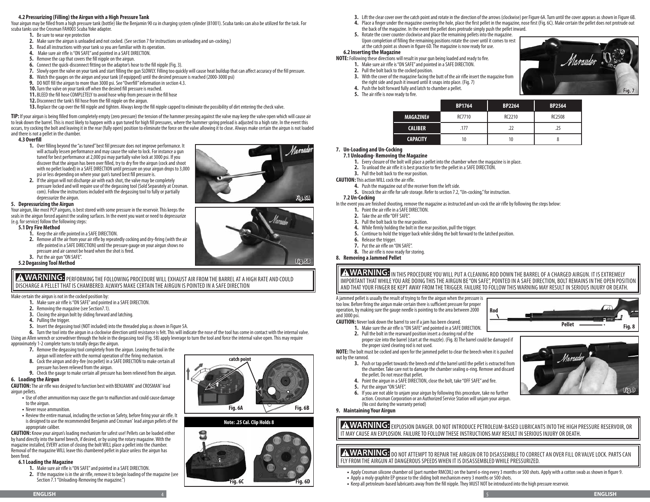# **4.2 Pressurizing (Filling) the Airgun with a High Pressure Tank**

Your airgun may be filled from a high pressure tank (bottle) like the Benjamin 90 cu in charging system cylinder (81001). Scuba tanks can also be utilized for the task. For scuba tanks use the Crosman FAH003 Scuba Yoke adapter.

- **1.** Be sure to wear eye protection
- **2.** Make sure the airgun is unloaded and not cocked. (See section 7 for instructions on unloading and un-cocking.)
- **3.** Read all instructions with your tank so you are familiar with its operation.
- **4.** Make sure air rifle is "ON SAFE" and pointed in a SAFE DIRECTION.
- **5.** Remove the cap that covers the fill nipple on the airgun.
- **6.** Connect the quick-disconnect fitting on the adaptor's hose to the fill nipple (Fig. 3).
- **7.** Slowly open the valve on your tank and start filling the gun SLOWLY. Filling too quickly will cause heat buildup that can affect accuracy of the fill pressure.
- **8.** Watch the gauges on the airgun and your tank (if equipped) until the desired pressure is reached (2000-3000 psi)
- **9.** DO NOT fill the airgun to more than 3000 psi. See "Overfill" information in section 4.3.
- **10.**Turn the valve on your tank off when the desired fill pressure is reached.
- **11.** BLEED the fill hose COMPLETELY to avoid hose whip from pressure in the fill hose
- **12.** Disconnect the tank's fill hose from the fill nipple on the airgun.
- **13.** Replace the cap over the fill nipple and tighten. Always keep the fill nipple capped to eliminate the possibility of dirt entering the check valve.

**TIP:** If your airgun is being filled from completely empty (zero pressure) the tension of the hammer pressing against the valve may keep the valve open which will cause air to leak down the barrel. This is most likely to happen with a gun tuned for high fill pressures, where the hammer spring preload is adjusted to a high rate. In the event this occurs, try cocking the bolt and leaving it in the rear (fully open) position to eliminate the force on the valve allowing it to close. Always make certain the airgun is not loaded and there is not a pellet in the chamber.

## **4.3Overfill**

- **1.** Over filling beyond the "as tuned" best fill pressure does not improve performance. It will actually lessen performance and may cause the valve to lock. For instance a gun tuned for best performance at 2,000 psi may partially valve lock at 3000 psi. If you discover that the airgun has been over filled, try to dry fire the airgun (cock and shoot with no pellet loaded) in a SAFE DIRECTION until pressure on your airgun drops to 3,000 psi or less depending on where your gun's tuned best fill pressure is.
- **2.** If the airgun will not discharge air with each shot, the valve may be completely pressure locked and will require use of the degassing tool (Sold Separately at Crosman. com). Follow the instructions included with the degassing tool to fully or partially depressurize the airgun.

# **5. Depressurizing the Airgun**

Your airgun, like most PCP airguns, is best stored with some pressure in the reservoir. This keeps the seals in the airgun forced against the sealing surfaces. In the event you want or need to depressurize (e.g. for service) follow the following steps:

# **5.1Dry Fire Method**

- **1.** Keep the air rifle pointed in a SAFE DIRECTION.
- **2.** Remove all the air from your air rifle by repeatedly cocking and dry-firing (with the air rifle pointed in a SAFE DIRECTION) until the pressure gauge on your airgun shows no pressure and air cannot be heard when the shot is fired.
- **3.** Put the air gun "ON SAFE".

# **5.2Degassing Tool Method**

A WARNING: PERFORMING THE FOLLOWING PROCEDURE WILL EXHAUST AIR FROM THE BARREL AT A HIGH RATE AND COULD DISCHARGE A PELLET THAT IS CHAMBERED. ALWAYS MAKE CERTAIN THE AIRGUN IS POINTED IN A SAFE DIRECTION

Make certain the airgun is not in the cocked position by:

- **1.** Make sure air rifle is "ON SAFE" and pointed in a SAFE DIRECTION.
- **2.** Removing the magazine (see Section7.1).
- **3.** Closing the airgun bolt by sliding forward and latching.
- **4.** Pulling the trigger.
- **5.** Insert the degassing tool (NOT included) into the threaded plug as shown in Figure 5A.

**6.** Turn the tool into the airgun in a clockwise direction until resistance is felt. This will indicate the nose of the tool has come in contact with the internal valve. Using an Allen wrench or screwdriver through the hole in the degassing tool (Fig. 5B) apply leverage to turn the tool and force the internal valve open. This may require approximately 1-2 complete turns to totally degas the airgun.

- **7.** Remove the degassing tool completely from the airgun. Leaving the tool in the
- airgun will interfere with the normal operation of the firing mechanism.
- **8.** Cock the airgun and dry-fire (no pellet) in a SAFE DIRECTION to make certain all pressure has been relieved from the airgun.
- **9.** Check the gauge to make certain all pressure has been relieved from the airgun.

# **6. Loading the Airgun**

CAUTION: The air rifle was designed to function best with BENJAMIN<sup>®</sup> and CROSMAN<sup>®</sup> lead airgun pellets.

- **•** Use of other ammunition may cause the gun to malfunction and could cause damage to the airgun.
- **•** Never reuse ammunition.
- Review the entire manual, including the section on Safety, before firing your air rifle. It is designed to use the recommended Benjamin and Crosman® lead airgun pellets of the appropriate caliber.

**CAUTION:** Know your airgun's loading mechanism for safest use! Pellets can be loaded either by hand directly into the barrel breech, if desired, or by using the rotary magazine. With the magazine installed, EVERY action of closing the bolt WILL place a pellet into the chamber. Removal of the magazine WILL leave this chambered pellet in place unless the airgun has been fired.

# **6.1 Loading the Magazine**

- **1.** Make sure air rifle is "ON SAFE" and pointed in a SAFE DIRECTION.
- **2.** If the magazine is in the air rifle, remove it to begin loading of the magazine (see Section 7.1 "Unloading-Removing the magazine.")



# **Note: .25 Cal. Clip Holds 8**



- **3.** Lift the clear cover over the catch point and rotate in the direction of the arrows (clockwise) per Figure 6A. Turn until the cover appears as shown in Figure 6B.
- **4.** Place a finger under the magazine covering the hole, place the first pellet in the magazine, nose first (Fig. 6C). Make certain the pellet does not protrude out the back of the magazine. In the event the pellet does protrude simply push the pellet inward.
- **5.** Rotate the cover counter clockwise and place the remaining pellets into the magazine. Upon completion of filling the remaining positions rotate the cover until it comes to rest at the catch point as shown in figure 6D. The magazine is now ready for use.

# **6.2 Inserting the Magazine**

- **NOTE:** Following these directions will result in your gun being loaded and ready to fire.
	- **2.** Pull the bolt back to the cocked position. **3.** With the cover of the magazine facing the butt of the air rifle insert the magazine from the right side and push it inward until it snaps into place. (Fig. 7)
	- **4.** Push the bolt forward fully and latch to chamber a pellet.

**1.** Make sure air rifle is "ON SAFE" and pointed in a SAFE DIRECTION.

**5.** The air rifle is now ready to fire.

|                  | <b>BP1764</b> | <b>BP2264</b> | <b>BP2564</b> |
|------------------|---------------|---------------|---------------|
| <b>MAGAZINE#</b> | RC7710        | RC2210        | <b>RC2508</b> |
| <b>CALIBER</b>   | .177          | .22           | .25           |
| <b>CAPACITY</b>  | 10            | 10            |               |

### **7. Un-Loading and Un-Cocking 7.1Unloading- Removing the Magazine**

- **1.** Every closure of the bolt will place a pellet into the chamber when the magazine is in place.
- **2.** To unload the air rifle it is best practice to fire the pellet in a SAFE DIRECTION.
- **3.** Pull the bolt back to the rear position.
- **CAUTION:** This action WILL cock the air rifle.
	- **4.** Push the magazine out of the receiver from the left side.
	- **5.** Uncock the air rifle for safe storage. Refer to section 7.2, "Un-cocking," for instruction.

## **7.2Un-Cocking**

In the event you are finished shooting, remove the magazine as instructed and un-cock the air rifle by following the steps below:

- **1.** Point the air rifle in a SAFE DIRECTION.
- **2.** Take the air rifle "OFF SAFE".
- **3.** Pull the bolt back to the rear position.
- **4.** While firmly holding the bolt in the rear position, pull the trigger.
- **5.** Continue to hold the trigger back while sliding the bolt forward to the latched position.
- **6.** Release the trigger.
- **7.** Put the air rifle on "ON SAFE".
- **8.** The air rifle is now ready for storing.

**8. Removing a Jammed Pellet**

**A WARNING:** IN THIS PROCEDURE YOU WILL PUT A CLEANING ROD DOWN THE BARREL OF A CHARGED AIRGUN. IT IS EXTREMELY IMPORTANT THAT WHILE YOU ARE DOING THIS THE AIRGUN BE "ON SAFE", POINTED IN A SAFE DIRECTION, BOLT REMAINS IN THE OPEN POSITION AND THAT YOUR FINGER BE KEPT AWAY FROM THE TRIGGER. FAILURE TO FOLLOW THIS WARNING MAY RESULT IN SERIOUS INJURY OR DEATH.

**Rod**

A jammed pellet is usually the result of trying to fire the airgun when the pressure is too low. Before firing the airgun make certain there is sufficient pressure for proper operation, by making sure the gauge needle is pointing to the area between 2000 and 3000 psi.

- **CAUTION:** Never look down the barrel to see if a jam has been cleared. **1.** Make sure the air rifle is "ON SAFE" and pointed in a SAFE DIRECTION.
	- **2.** Pull the bolt in the rearward position insert a clearing rod of the proper size into the barrel (start at the muzzle). (Fig. 8) The barrel could be damaged if the proper sized clearing rod is not used.

**NOTE:** The bolt must be cocked and open for the jammed pellet to clear the breech when it is pushed out by the ramrod.

- **3.** Push or tap pellet towards the breech end of the barrel until the pellet is extracted from the chamber. Take care not to damage the chamber sealing o-ring. Remove and discard the pellet. Do not reuse that pellet.
- **4.** Point the airgun in a SAFE DIRECTION, close the bolt, take "OFF SAFE" and fire.
- **5.** Put the airgun "ON SAFE".
- **6.** If you are not able to unjam your airgun by following this procedure, take no further action. Crosman Corporation or an Authorized Service Station will unjam your airgun. (No cost during the warranty period)

# **9. Maintaining Your Airgun**

AWARNING: EXPLOSION DANGER. DO NOT INTRODUCE PETROLEUM-BASED LUBRICANTS INTO THE HIGH PRESSURE RESERVOIR, OR IT MAY CAUSE AN EXPLOSION. FAILURE TO FOLLOW THESE INSTRUCTIONS MAY RESULT IN SERIOUS INJURY OR DEATH.

A WARNING: <sub>DO NOT</sub> ATTEMPT TO REPAIR THE AIRGUN OR TO DISASSEMBLE TO CORRECT AN OVER FILL OR VALVE LOCK. PARTS CAN FLY FROM THE AIRGUN AT DANGEROUS SPEEDS WHEN IT IS DISASSEMBLED WHILE PRESSURIZED.

- **•** Apply Crosman silicone chamber oil (part number RMCOIL) on the barrel o-ring every 3 months or 500 shots. Apply with a cotton swab as shown in figure 9.
- **•** Apply a moly graphite EP grease to the sliding bolt mechanism every 3 months or 500 shots.
- **•** Keep all petroleum-based lubricants away from the fill nipple. They MUST NOT be introduced into the high pressure reservoir.



**Pellet**

**Fig. 8**





**Fig. 5B**



Marauder .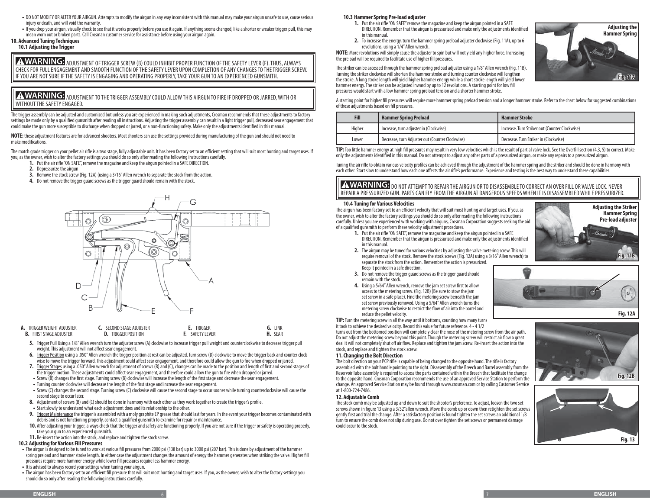- **•** DO NOT MODIFY OR ALTER YOUR AIRGUN. Attempts to modify the airgun in any way inconsistent with this manual may make your airgun unsafe to use, cause serious injury or death, and will void the warranty.
- **•** If you drop your airgun, visually check to see that it works properly before you use it again. If anything seems changed, like a shorter or weaker trigger pull, this may mean worn out or broken parts. Call Crosman customer service for assistance before using your airgun again.
- **10. Advanced Tuning Techniques**

# **10.1 Adjusting the Trigger**

**A WARNING:** ADJUSTMENT OF TRIGGER SCREW (B) COULD INHIBIT PROPER FUNCTION OF THE SAFETY LEVER (F). THUS, ALWAYS CHECK FOR FULL ENGAGEMENT AND SMOOTH FUNCTION OF THE SAFETY LEVER UPON COMPLETION OF ANY CHANGES TO THE TRIGGER SCREW. IF YOU ARE NOT SURE IF THE SAFETY IS ENGAGING AND OPERATING PROPERLY, TAKE YOUR GUN TO AN EXPERIENCED GUNSMITH.

A WARNING: ADJUSTMENT TO THE TRIGGER ASSEMBLY COULD ALLOW THIS AIRGUN TO FIRE IF DROPPED OR JARRED, WITH OR WITHOUT THE SAFETY ENGAGED.

The trigger assembly can be adjusted and customized but unless you are experienced in making such adjustments, Crosman recommends that these adjustments to factory settings be made only by a qualified gunsmith after reading all instructions. Adjusting the trigger assembly can result in a light trigger pull, decreased sear engagement that could make the gun more susceptible to discharge when dropped or jarred, or a non-functioning safety. Make only the adjustments identified in this manual.

**NOTE:** these adjustment features are for advanced shooters. Most shooters can use the settings provided during manufacturing of the gun and should not need to make modifications.

The match grade trigger on your pellet air rifle is a two stage, fully adjustable unit. It has been factory set to an efficient setting that will suit most hunting and target uses. If you, as the owner, wish to alter the factory settings you should do so only after reading the following instructions carefully.

- **1.** Put the air rifle "ON SAFE", remove the magazine and keep the airgun pointed in a SAFE DIRECTION.
	- **2.** Depressurize the airgun
	- **3.** Remove the stock screw (Fig. 12A) (using a 3/16" Allen wrench to separate the stock from the action.
	- **4.** Do not remove the trigger guard screws as the trigger guard should remain with the stock.



| TRIGGER WEIGHT ADJUSTER<br>А.<br><b>FIRST STAGE ADJUSTER</b> | SECOND STAGE ADJUSTER<br>TRIGGER POSITION | TRIGGER<br><b>SAFETY LEVER</b> | LINK<br><b>SEAR</b> |
|--------------------------------------------------------------|-------------------------------------------|--------------------------------|---------------------|
|--------------------------------------------------------------|-------------------------------------------|--------------------------------|---------------------|

- **5.** Trigger Pull Using a 1/8" Allen wrench turn the adjuster screw (A) clockwise to increase trigger pull weight and counterclockwise to decrease trigger pull weight. This adjustment will not affect sear engagement.
- **6.** Trigger Position using a .050" Allen wrench the trigger position at rest can be adjusted. Turn screw (D) clockwise to move the trigger back and counter clockwise to move the trigger forward. This adjustment could affect sear engagement, and therefore could allow the gun to fire when dropped or jarred.
- **7.** Trigger Stages using a .050" Allen wrench for adjustment of screws (B) and (C), changes can be made to the position and length of first and second stages of the trigger motion. These adjustments could affect sear engagement, and therefore could allow the gun to fire when dropped or jarred.
- **•** Screw (B) changes the first stage. Turning screw (B) clockwise will increase the length of the first stage and decrease the sear engagement.
- **•** Turning counter clockwise will decrease the length of the first stage and increase the sear engagement.
- **•** Screw (C) changes the second stage. Turning screw (C) clockwise will cause the second stage to occur sooner while turning counterclockwise will cause the second stage to occur later.
- **8.** Adjustment of screws (B) and (C) should be done in harmony with each other as they work together to create the trigger's profile.
- **•** Start slowly to understand what each adjustment does and its relationship to the other.
- **9.** Trigger Maintenance the trigger is assembled with a moly graphite EP grease that should last for years. In the event your trigger becomes contaminated with debris and is not functioning properly, contact a qualified gunsmith to examine for repair or maintenance.
- **10.** After adjusting your trigger, always check that the trigger and safety are functioning properly. If you are not sure if the trigger or safety is operating properly, take your gun to an experienced gunsmith.
- **11.** Re-insert the action into the stock, and replace and tighten the stock screw.

# **10.2 Adjusting for Various Fill Pressures**

- **•** The airgun is designed to be tuned to work at various fill pressures from 2000 psi (138 bar) up to 3000 psi (207 bar). This is done by adjustment of the hammer spring preload and hammer stroke length. In either case the adjustment changes the amount of energy the hammer generates when striking the valve. Higher fill pressures require more hammer energy while lower fill pressures require less hammer energy.
- **•** It is advised to always record your settings when tuning your airgun.
- **•** The airgun has been factory set to an efficient fill pressure that will suit most hunting and target uses. If you, as the owner, wish to alter the factory settings you should do so only after reading the following instructions carefully.

# **10.3 Hammer Spring Pre-load adjuster**

- **1.** Put the air rifle "ON SAFE" remove the magazine and keep the airgun pointed in a SAFE DIRECTION. Remember that the airgun is pressurized and make only the adjustments identified in this manual.
- **2.** To increase the energy, turn the hammer spring preload adjuster clockwise (Fig. 11A), up to 6 revolutions, using a 1/4" Allen wrench.

**NOTE:** More revolutions will simply cause the adjuster to spin but will not yield any higher force. Increasing the preload will be required to facilitate use of higher fill pressures.

The striker can be accessed through the hammer spring preload adjuster using a 1/8" Allen wrench (Fig. 11B). Turning the striker clockwise will shorten the hammer stroke and turning counter clockwise will lengthen the stroke. A long stroke length will yield higher hammer energy while a short stroke length will yield lower hammer energy. The striker can be adjusted inward by up to 12 revolutions. A starting point for low fill pressures would start with a low hammer spring preload tension and a shorter hammer stroke.



A starting point for higher fill pressures will require more hammer spring preload tension and a longer hammer stroke. Refer to the chart below for suggested combinations of these adjustments based on fill pressures.

| <b>Fill</b> | <b>Hammer Spring Preload</b>                    | <b>Hammer Stroke</b>                           |  |  |
|-------------|-------------------------------------------------|------------------------------------------------|--|--|
| Higher      | Increase, turn adjuster in (Clockwise)          | Increase. Turn Striker out (Counter Clockwise) |  |  |
| Lower       | Decrease, turn Adjuster out (Counter Clockwise) | Decrease. Turn Striker in (Clockwise)          |  |  |

**TIP:** Too little hammer energy at high fill pressures may result in very low velocities which is the result of partial valve lock. See the Overfill section (4.3, 5) to correct. Make only the adjustments identified in this manual. Do not attempt to adjust any other parts of a pressurized airgun, or make any repairs to a pressurized airgun.

Tuning the air rifle to obtain various velocity profiles can be achieved through the adjustment of the hammer spring and the striker and should be done in harmony with each other. Start slow to understand how each one affects the air rifle's performance. Experience and testing is the best way to understand these capabilities.

**A WARNING:** DO NOT ATTEMPT TO REPAIR THE AIRGUN OR TO DISASSEMBLE TO CORRECT AN OVER FILL OR VALVE LOCK. NEVER REPAIR A PRESSURIZED GUN. PARTS CAN FLY FROM THE AIRGUN AT DANGEROUS SPEEDS WHEN IT IS DISASSEMBLED WHILE PRESSURIZED.

# **10.4 Tuning for Various Velocities**

The airgun has been factory set to an efficient velocity that will suit most hunting and target uses. If you, as the owner, wish to alter the factory settings you should do so only after reading the following instructions carefully. Unless you are experienced with working with airguns, Crosman Corporation suggests seeking the aid of a qualified gunsmith to perform these velocity adjustment procedures.



- **1.** Put the air rifle "ON SAFE", remove the magazine and keep the airgun pointed in a SAFE DIRECTION. Remember that the airgun is pressurized and make only the adjustments identified in this manual.
- **2.** The airgun may be tuned for various velocities by adjusting the valve metering screw. This will require removal of the stock. Remove the stock screws (Fig. 12A) using a 3/16" Allen wrench) to separate the stock from the action. Remember the action is pressurized. Keep it pointed in a safe direction.
- **3.** Do not remove the trigger guard screws as the trigger guard should remain with the stock.
- **4.** Using a 5/64" Allen wrench, remove the jam set screw first to allow access to the metering screw. (Fig. 12B) (Be sure to stow the jam set screw in a safe place). Find the metering screw beneath the jam set screw previously removed. Using a 5/64" Allen wrench turns the metering screw clockwise to restrict the flow of air into the barrel and reduce the pellet velocity.

**TIP:** Turn the metering screw in all the way until it bottoms, counting how many turns it took to achieve the desired velocity. Record this value for future reference. 4 - 4 1/2

turns out from the bottomed position will completely clear the nose of the metering screw from the air path. Do not adjust the metering screw beyond this point. Though the metering screw will restrict air flow a great deal it will not completely shut off air flow. Replace and tighten the jam screw. Re-insert the action into the stock, and replace and tighten the stock screw.

# **11.Changing the Bolt Direction**

The bolt direction on your PCP rifle is capable of being changed to the opposite hand. The rifle is factory assembled with the bolt handle pointing to the right. Disassembly of the Breech and Barrel assembly from the Reservoir Tube assembly is required to access the parts contained within the Breech that facilitate the change to the opposite hand. Crosman Corporation recommends the use of an approved Service Station to perform the change. An approved Service Station may be found through www.crosman.com or by calling Customer Service at 1-800-724-7486.

# **12. Adjustable Comb**

The stock comb may be adjusted up and down to suit the shooter's preference. To adjust, loosen the two set screws shown in figure 13 using a 3/32"allen wrench. Move the comb up or down then retighten the set screws gently first and trial the change. After a satisfactory position is found tighten the set screws an additional 1/8 turn to ensure the comb does not slip during use. Do not over tighten the set screws or permanent damage could occur to the stock.





# $\epsilon$

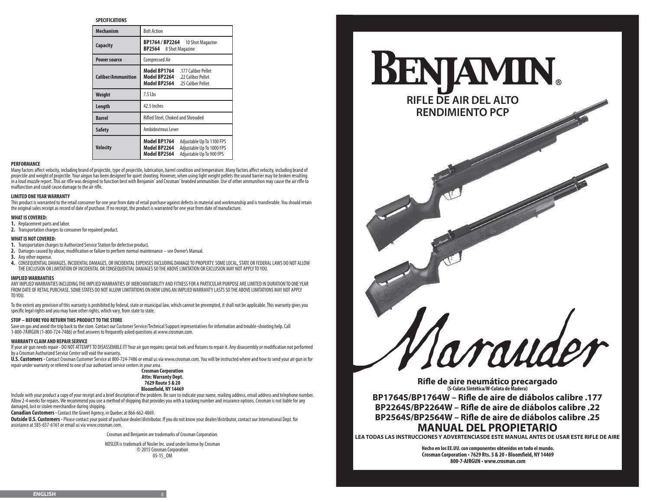## **SPECIFICATIONS**

| <b>Mechanism</b>          | <b>Bolt Action</b>                                                                                                                 |  |  |  |
|---------------------------|------------------------------------------------------------------------------------------------------------------------------------|--|--|--|
| Capacity                  | BP1764 / BP2264 10 Shot Magazine<br>8 Shot Magazine<br>BP2564                                                                      |  |  |  |
| <b>Power source</b>       | <b>Compressed Air</b>                                                                                                              |  |  |  |
| <b>Caliber/Ammunition</b> | Model BP1764 .177 Caliber Pellet<br>Model BP2264 .22 Caliber Pellet<br>Model BP2564 .25 Caliber Pellet                             |  |  |  |
| Weight                    | $7.5$ Lbs                                                                                                                          |  |  |  |
| Length                    | 42.5 Inches                                                                                                                        |  |  |  |
| <b>Barrel</b>             | Rifled Steel, Choked and Shrouded                                                                                                  |  |  |  |
| <b>Safety</b>             | Ambidextrous Lever                                                                                                                 |  |  |  |
| Velocity                  | Model BP1764<br>Adjustable Up To 1100 FPS<br>Model BP2264<br>Adjustable Up To 1000 FPS<br>Model BP2564<br>Adjustable Up To 900 FPS |  |  |  |

## **PERFORMANCE**

Many factors affect velocity, including brand of projectile, type of projectile, lubrication, barrel condition and temperature. Many factors affect velocity, including brand of projectile and weight of projectile. Your airgun has been designed for quiet shooting. However, when using light weight pellets the sound barrier may be broken resulting in a loud muzzle report. This air rifle was designed to function best with Benjamin® and Crosman® branded ammunition. Use of other ammunition may cause the air rifle to malfunction and could cause damage to the air rifle.

# **LIMITED ONE YEAR WARRANTY**

This product is warranted to the retail consumer for one year from date of retail purchase against defects in material and workmanship and is transferable. You should retain the original sales receipt as record of date of purchase. If no receipt, the product is warranted for one year from date of manufacture.

## **WHAT IS COVERED:**

**1.** Replacement parts and labor.

**2.** Transportation charges to consumer for repaired product.

## **WHAT IS NOT COVERED:**

**1.** Transportation charges to Authorized Service Station for defective product.

- **2.** Damages caused by abuse, modification or failure to perform normal maintenance see Owner's Manual.
- **3.** Any other expense.
- **4.** CONSEQUENTIAL DAMAGES, INCIDENTAL DAMAGES, OR INCIDENTAL EXPENSES INCLUDING DAMAGE TO PROPERTY. SOME LOCAL, STATE OR FEDERAL LAWS DO NOT ALLOW THE EXCLUSION OR LIMITATION OF INCIDENTAL OR CONSEQUENTIAL DAMAGES SO THE ABOVE LIMITATION OR EXCLUSION MAY NOT APPLY TO YOU.

## **IMPLIED WARRANTIES**

ANY IMPLIED WARRANTIES INCLUDING THE IMPLIED WARRANTIES OF MERCHANTABILITY AND FITNESS FOR A PARTICULAR PURPOSE ARE LIMITED IN DURATION TO ONE YEAR FROM DATE OF RETAIL PURCHASE. SOME STATES DO NOT ALLOW LIMITATIONS ON HOW LONG AN IMPLIED WARRANTY LASTS SO THE ABOVE LIMITATIONS MAY NOT APPLY TO YOU.

To the extent any provision of this warranty is prohibited by federal, state or municipal law, which cannot be preempted, it shall not be applicable. This warranty gives you specific legal rights and you may have other rights, which vary, from state to state.

## **STOP – BEFORE YOU RETURN THIS PRODUCT TO THE STORE**

Save on gas and avoid the trip back to the store. Contact our Customer Service/Technical Support representatives for information and trouble-shooting help. Call 1-800-7AIRGUN (1-800-724-7486) or find answers to frequently asked questions at www.crosman.com.

## **WARRANTY CLAIM AND REPAIR SERVICE**

If your air gun needs repair - DO NOT ATTEMPT TO DISASSEMBLE IT! Your air gun requires special tools and fixtures to repair it. Any disassembly or modification not performed by a Crosman Authorized Service Center will void the warranty.

**U.S. Customers -** Contact Crosman Customer Service at 800-724-7486 or email us via www.crosman.com. You will be instructed where and how to send your air gun in for repair under warranty or referred to one of our authorized service centers in your area.



Include with your product a copy of your receipt and a brief description of the problem. Be sure to indicate your name, mailing address, email address and telephone number. Allow 2-4 weeks for repairs. We recommend you use a method of shipping that provides you with a tracking number and insurance options. Crosman is not liable for any damaged, lost or stolen merchandise during shipping.

**Canadian Customers -** Contact the Gravel Agency, in Quebec at 866-662-4869.

**Outside U.S. Customers -** Please contact your point of purchase dealer/distributor. If you do not know your dealer/distributor, contact our International Dept. for assistance at 585-657-6161 or email us via www.crosman.com.

Crosman and Benjamin are trademarks of Crosman Corporation.

NOSLER is trademark of Nosler Inc. used under license by Crosman © 2015 Crosman Corporation 05-15\_OM



**RIFLE DE AIR DEL ALTO RENDIMIENTO PCP**

**Rifle de aire neumático precargado (S-Culata Sintética/W-Culata de Madera) BP1764S/BP1764W – Rifle de aire de diábolos calibre .177 BP2264S/BP2264W – Rifle de aire de diábolos calibre .22 BP2564S/BP2564W – Rifle de aire de diábolos calibre .25 MANUAL DEL PROPIETARIO**

vraude

**LEA TODAS LAS INSTRUCCIONES Y ADVERTENCIASDE ESTE MANUAL ANTES DE USAR ESTE RIFLE DE AIRE**

**Hecho en los EE.UU. con componentes obtenidos en todo el mundo. Crosman Corporation • 7629 Rts. 5 & 20 • Bloomfield, NY 14469 800-7-AIRGUN • www.crosman.com**

## **ENGLISH** 8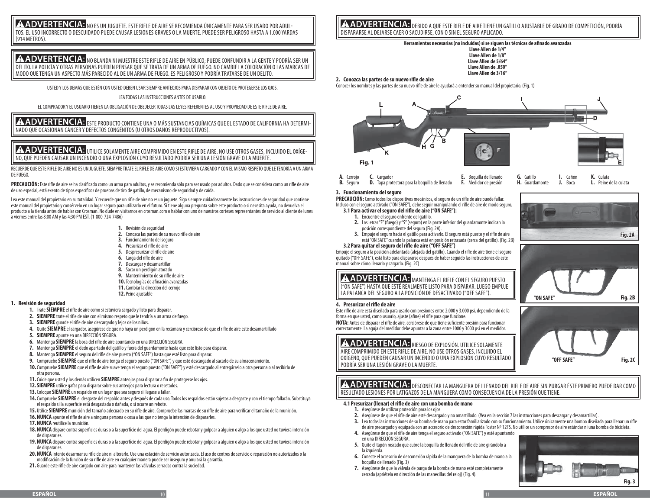# **A ADVERTENCIA:** NO ES UN JUGUETE. ESTE RIFLE DE AIRE SE RECOMIENDA ÚNICAMENTE PARA SER USADO POR ADUL-TOS. EL USO INCORRECTO O DESCUIDADO PUEDE CAUSAR LESIONES GRAVES O LA MUERTE. PUEDE SER PELIGROSO HASTA A 1.000 YARDAS (914 METROS).

A ADVERTENCIA: NO BLANDA NI MUESTRE ESTE RIFLE DE AIRE EN PÚBLICO; PUEDE CONFUNDIR A LA GENTE Y PODRÍA SER UN DELITO. LA POLICÍA Y OTRAS PERSONAS PUEDEN PENSAR QUE SE TRATA DE UN ARMA DE FUEGO. NO CAMBIE LA COLORACIÓN O LAS MARCAS DE MODO QUE TENGA UN ASPECTO MÁS PARECIDO AL DE UN ARMA DE FUEGO. ES PELIGROSO Y PODRÍA TRATARSE DE UN DELITO.

USTED Y LOS DEMÁS QUE ESTÉN CON USTED DEBEN USAR SIEMPRE ANTEOJOS PARA DISPARAR CON OBJETO DE PROTEGERSE LOS OJOS.

# LEA TODAS LAS INSTRUCCIONES ANTES DE USARLO.

EL COMPRADOR Y EL USUARIO TIENEN LA OBLIGACIÓN DE OBEDECER TODAS LAS LEYES REFERENTES AL USO Y PROPIEDAD DE ESTE RIFLE DE AIRE.

**A ADVERTENCIA:** este producto contiene una o más sustancias químicas que el estado de california ha determi NADO QUE OCASIONAN CÁNCER Y DEFECTOS CONGÉNITOS (U OTROS DAÑOS REPRODUCTIVOS).

# **A ADVERTENCIA:** IITILICE SOLAMENTE AIRE COMPRIMIDO EN ESTE RIFLE DE AIRE. NO USE OTROS GASES, INCLUIDO EL OXÍGE-NO, QUE PUEDEN CAUSAR UN INCENDIO O UNA EXPLOSIÓN CUYO RESULTADO PODRÍA SER UNA LESIÓN GRAVE O LA MUERTE.

RECUERDE QUE ESTE RIFLE DE AIRE NO ES UN JUGUETE. SIEMPRE TRATE EL RIFLE DE AIRE COMO SI ESTUVIERA CARGADO Y CON EL MISMO RESPETO QUE LE TENDRÍA A UN ARMA DE FUEGO.

**PRECAUCIÓN:** Este rifle de aire se ha clasificado como un arma para adultos, y se recomienda sólo para ser usado por adultos. Dado que se considera como un rifle de aire de uso especial, está exento de tipos específicos de pruebas de tiro de gatillo, de mecanismo de seguridad y de caída.

Lea este manual del propietario en su totalidad. Y recuerde que un rifle de aire no es un juguete. Siga siempre cuidadosamente las instrucciones de seguridad que contiene este manual del propietario y consérvelo en un lugar seguro para utilizarlo en el futuro. Si tiene alguna pregunta sobre este producto o si necesita ayuda, no devuelva el producto a la tienda antes de hablar con Crosman. No dude en visitarnos en crosman.com o hablar con uno de nuestros corteses representantes de servicio al cliente de lunes a viernes entre las 8:00 AM y las 4:30 PM EST. (1-800-724-7486)

- **1.** Revisión de seguridad
- **2.** Conozca las partes de su nuevo rifle de aire
- **3.** Funcionamiento del seguro
- **4.** Presurizar el rifle de aire
- **5.** Despresurizar el rifle de aire
- **6.** Carga del rifle de aire
- **7.** Descargar y desamartillar
- **8.** Sacar un perdigón atorado
- **9.** Mantenimiento de su rifle de aire
- **10.**Tecnologías de afinación avanzadas
- **11.**Cambiar la dirección del cerrojo **12.**Peine ajustable

## **1. Revisión de seguridad**

- **1.** Trate **SIEMPRE** el rifle de aire como si estuviera cargado y listo para disparar.
- **2. SIEMPRE** trate el rifle de aire con el mismo respeto que le tendría a un arma de fuego.
- **3. SIEMPRE** guarde el rifle de aire descargado y lejos de los niños.
- **4.** Quite **SIEMPRE** el cargador, asegúrese de que no haya un perdigón en la recámara y cerciórese de que el rifle de aire esté desamartillado
- **5. SIEMPRE** apunte en una DIRECCIÓN SEGURA.
- **6.** Mantenga **SIEMPRE** la boca del rifle de aire apuntando en una DIRECCIÓN SEGURA.
- **7.** Mantenga **SIEMPRE** el dedo apartado del gatillo y fuera del guardamonte hasta que esté listo para disparar.
- **8.** Mantenga **SIEMPRE** el seguro del rifle de aire puesto ("ON SAFE") hasta que esté listo para disparar.
- **9.** Compruebe **SIEMPRE** que el rifle de aire tenga el seguro puesto ("ON SAFE") y que esté descargado al sacarlo de su almacenamiento.
- **10.**Compruebe **SIEMPRE** que el rifle de aire suave tenga el seguro puesto ("ON SAFE") y esté descargado al entregárselo a otra persona o al recibirlo de otra persona.
- **11.**Cuide que usted y los demás utilicen **SIEMPRE** anteojos para disparar a fin de protegerse los ojos.
- **12.SIEMPRE** utilice gafas para disparar sobre sus anteojos para lectura o recetados.
- **13.**Coloque **SIEMPRE** un respaldo en un lugar que sea seguro si llegase a fallar.
- **14.**Compruebe **SIEMPRE** el desgaste del respaldo antes y después de cada uso. Todos los respaldos están sujetos a desgaste y con el tiempo fallarán. Substituya el respaldo si la superficie está desgastada o dañada, o si ocurre un rebote.
- **15.** Utilice **SIEMPRE** munición del tamaño adecuado en su rifle de aire. Compruebe las marcas de su rifle de aire para verificar el tamaño de la munición.
- **16.NUNCA** apunte el rifle de aire a ninguna persona o cosa a las que no tenga la intención de dispararles.
- **17.NUNCA** reutilice la munición.
- **18.NUNCA** dispare contra superficies duras o a la superficie del agua. El perdigón puede rebotar y golpear a alguien o algo a los que usted no tuviera intención de dispararles.
- **19.NUNCA** dispare contra superficies duras o a la superficie del agua. El perdigón puede rebotar y golpear a alguien o algo a los que usted no tuviera intención de dispararles.
- **20.NUNCA** intente desarmar su rifle de aire ni alterarlo. Use una estación de servicio autorizada. El uso de centros de servicio o reparación no autorizados o la modificación de la función de su rifle de aire en cualquier manera puede ser inseguro y anulará la garantía.
- **21.** Guarde este rifle de aire cargado con aire para mantener las válvulas cerradas contra la suciedad.

**A ADVERTENCIA:** DEBIDO A QUE ESTE RIFLE DE AIRE TIENE UN GATILLO AJUSTABLE DE GRADO DE COMPETICIÓN, PODRÍA DISPARARSE AL DEJARSE CAER O SACUDIRSE, CON O SIN EL SEGURO APLICADO.

# **Herramientas necesarias (no incluidas) si se siguen las técnicas de afinado avanzadas**

**Llave Allen de 1/4" Llave Allen de 1/8" Llave Allen de 5/64" Llave Allen de .050" Llave Allen de 3/16"**

**2. Conozca las partes de su nuevo rifle de aire**

Conocer los nombres y las partes de su nuevo rifle de aire le ayudará a entender su manual del propietario. (Fig. 1)



| A. Cerrojo <b>C.</b> Cargador |                                                                                                                             | <b>E.</b> Boquilla de llenado <b>G.</b> Gatillo <b>I.</b> Cañón <b>K.</b> Culata |  |  |  |
|-------------------------------|-----------------------------------------------------------------------------------------------------------------------------|----------------------------------------------------------------------------------|--|--|--|
|                               | B. Seguro D. Tapa protectora para la boquilla de llenado F. Medidor de presión H. Guardamonte J. Boca L. Peine de la culata |                                                                                  |  |  |  |

## **3. Funcionamiento del seguro**

**PRECAUCIÓN:** Como todos los dispositivos mecánicos, el seguro de un rifle de aire puede fallar. Incluso con el seguro activado ("ON SAFE"), debe seguir manipulando el rifle de aire de modo seguro. **3.1 Para activar el seguro del rifle de aire ("ON SAFE"):**

- **1.** Encuentre el seguro enfrente del gatillo.
- **2.** Las letras "F" (fuego) y "S" (seguro) en la parte inferior del guardamonte indican la posición correspondiente del seguro (Fig. 2A).
- **3.** Empuje el seguro hacia el gatillo para activarlo. El seguro está puesto y el rifle de aire está "ON SAFE" cuando la palanca está en posición retrasada (cerca del gatillo). (Fig. 2B)

# **3.2 Para quitar el seguro del rifle de aire ("OFF SAFE")**

Empuje el seguro a la posición adelantada (alejada del gatillo). Cuando el rifle de aire tiene el seguro quitado ("OFF SAFE"), está listo para dispararse después de haber seguido las instrucciones de este manual sobre cómo llenarlo y cargarlo. (Fig. 2C)

# AADVERTENCIA: MANTENGA EL RIFLE CON EL SEGURO PUESTO

("ON SAFE") HASTA QUE ESTÉ REALMENTE LISTO PARA DISPARAR. LUEGO EMPUJE LA PALANCA DEL SEGURO A LA POSICIÓN DE DESACTIVADO ("OFF SAFE").

# **4. Presurizar el rifle de aire**

Este rifle de aire está diseñado para usarlo con presiones entre 2.000 y 3.000 psi, dependiendo de la forma en que usted, como usuario, ajuste (afine) el rifle para que funcione.

**NOTA:** Antes de disparar el rifle de aire, cerciórese de que tiene suficiente presión para funcionar correctamente. La aguja del medidor debe apuntar a la zona entre 1000 y 3000 psi en el medidor.

**A ADVERTENCIA:** RIESGO DE EXPLOSIÓN. UTILICE SOLAMENTE AIRE COMPRIMIDO EN ESTE RIFLE DE AIRE. NO USE OTROS GASES, INCLUIDO EL OXÍGENO, QUE PUEDEN CAUSAR UN INCENDIO O UNA EXPLOSIÓN CUYO RESULTADO PODRÍA SER UNA LESIÓN GRAVE O LA MUERTE.



A ADVERTENCIA: DESCONECTAR LA MANGUERA DE LLENADO DEL RIFLE DE AIRE SIN PURGAR ÉSTE PRIMERO PUEDE DAR COMO RESULTADO LESIONES POR LATIGAZOS DE LA MANGUERA COMO CONSECUENCIA DE LA PRESIÓN QUE TIENE.

## **4.1 Presurizar (llenar) el rifle de aire con una bomba de mano**

- **1.** Asegúrese de utilizar protección para los ojos
- **2.** Asegúrese de que el rifle de aire esté descargado y no amartillado. (Vea en la sección 7 las instrucciones para descargar y desamartillar).
- **3.** Lea todas las instrucciones de su bomba de mano para estar familiarizado con su funcionamiento. Utilice únicamente una bomba diseñada para llenar un rifle de aire precargado y equipada con un accesorio de desconexión rápida Foster Nº 12FS. No utilice un compresor de aire estándar ni una bomba de bicicleta.
- **4.** Asegúrese de que el rifle de aire tenga el seguro activado ("ON SAFE") y esté apuntando en una DIRECCIÓN SEGURA.
- **5.** Quite el tapón roscado que cubre la boquilla de llenado del rifle de aire girándolo a la izquierda.
- **6.** Conecte el accesorio de desconexión rápida de la manguera de la bomba de mano a la boquilla de llenado (Fig. 3)
- **7.** Asegúrese de que la válvula de purga de la bomba de mano esté completamente cerrada (apriétela en dirección de las manecillas del reloj) (Fig. 4).





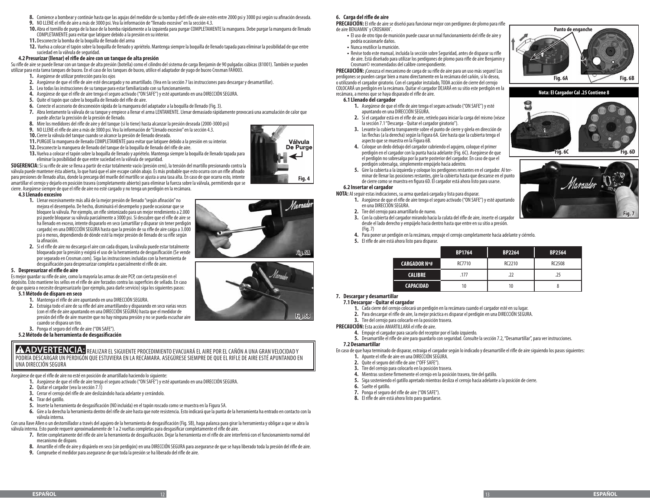- **8.** Comience a bombear y continúe hasta que las agujas del medidor de su bomba y detl rifle de aire estén entre 2000 psi y 3000 psi según su afinación deseada.
- **9.** NO LLENE el rifle de aire a más de 3000 psi. Vea la información de "llenado excesivo" en la sección 4.3.
- **10.** Abra el tornillo de purga de la base de la bomba rápidamente a la izquierda para purgar COMPLETAMENTE la manguera. Debe purgar la manguera de llenado COMPLETAMENTE para evitar que latiguee debido a la presión en su interior.
- **11.** Desconecte la bomba de la boquilla de llenado del arma
- **12.** Vuelva a colocar el tapón sobre la boquilla de llenado y apriételo. Mantenga siempre la boquilla de llenado tapada para eliminar la posibilidad de que entre suciedad en la válvula de seguridad.

## **4.2 Presurizar (llenar) el rifle de aire con un tanque de alta presión**

Su rifle de aire se puede llenar con un tanque de alta presión (botella) como el cilindro del sistema de carga Benjamin de 90 pulgadas cúbicas (81001). También se pueden utilizar para esta tarea tanques de buceo. En el caso de los tanques de buceo, utilice el adaptador de yugo de buceo Crosman FAH003.

- **1.** Asegúrese de utilizar protección para los ojos
- **2.** Asegúrese de que el rifle de aire esté descargado y no amartillado. (Vea en la sección 7 las instrucciones para descargar y desamartillar).
- **3.** Lea todas las instrucciones de su tanque para estar familiarizado con su funcionamiento.
- **4.** Asegúrese de que el rifle de aire tenga el seguro activado ("ON SAFE") y esté apuntando en una DIRECCIÓN SEGURA.
- **5.** Quite el tapón que cubre la boquilla de llenado del rifle de aire.
- **6.** Conecte el accesorio de desconexión rápida de la manguera del adaptador a la boquilla de llenado (Fig. 3).
- **7.** Abra lentamente la válvula de su tanque y empiece a llenar el arma LENTAMENTE. Llenar demasiado rápidamente provocará una acumulación de calor que puede afectar la precisión de la presión de llenado.
- **8.** Mire los medidores del rifle de aire y del tanque (si lo tiene) hasta alcanzar la presión deseada (2000-3000 psi)
- **9.** NO LLENE el rifle de aire a más de 3000 psi. Vea la información de "Llenado excesivo" en la sección 4.3.
- **10.**Cierre la válvula del tanque cuando se alcance la presión de llenado deseada.
- **11.**PURGUE la manguera de llenado COMPLETAMENTE para evitar que latiguee debido a la presión en su interior.
- **12.** Desconecte la manguera de llenado del tanque de la boquilla de llenado del rifle de aire.
- **13.** Vuelva a colocar el tapón sobre la boquilla de llenado y apriételo. Mantenga siempre la boquilla de llenado tapada para eliminar la posibilidad de que entre suciedad en la válvula de seguridad.

**SUGERENCIA:** Si su rifle de aire se llena a partir de estar totalmente vacío (presión cero), la tensión del martillo presionando contra la válvula puede mantener ésta abierta, lo que hará que el aire escape cañón abajo. Es más probable que esto ocurra con un rifle afinado para presiones de llenado altas, donde la precarga del muelle del martillo se ajusta a una tasa alta. En caso de que ocurra esto, intente amartillar el cerrojo y dejarlo en posición trasera (completamente abierto) para eliminar la fuerza sobre la válvula, permitiendo que se cierre. Asegúrese siempre de que el rifle de aire no esté cargado y no tenga un perdigón en la recámara.

## **4.3 Llenado excesivo**

- **1.** Llenar excesivamente más allá de la mejor presión de llenado "según afinación" no mejora el desempeño. De hecho, disminuirá el desempeño y puede ocasionar que se bloquee la válvula. Por ejemplo, un rifle sintonizado para un mejor rendimiento a 2.000 psi puede bloquear su válvula parcialmente a 3000 psi. Si descubre que el rifle de aire se ha llenado en exceso, intente dispararlo en seco (amartillar y disparar sin tener perdigón cargado) en una DIRECCIÓN SEGURA hasta que la presión de su rifle de aire caiga a 3.000 psi o menos, dependiendo de dónde esté la mejor presión de llenado de su rifle según la afinación.
- **2.** Si el rifle de aire no descarga el aire con cada disparo, la válvula puede estar totalmente bloqueada por la presión y exigirá el uso de la herramienta de desgasificación (Se vende por separado en Crosman.com). Siga las instrucciones incluidas con la herramienta de desgasificación para despresurizar completa o parcialmente el rifle de aire.

# **5. Despresurizar el rifle de aire**

Es mejor guardar su rifle de aire, como la mayoría las armas de aire PCP, con cierta presión en el depósito. Esto mantiene los sellos en el rifle de aire forzados contra las superficies de sellado. En caso de que quiera o necesite despresurizarlo (por ejemplo, para darle servicio) siga los siguientes pasos:

# **5.1Método de disparo en seco**

- **1.** Mantenga el rifle de aire apuntando en una DIRECCIÓN SEGURA.
- **2.** Extraiga todo el aire de su rifle del aire amartillando y disparando en seco varias veces (con el rifle de aire apuntando en una DIRECCIÓN SEGURA) hasta que el medidor de presión del rifle de aire muestre que no hay ninguna presión y no se pueda escuchar aire cuando se dispara un tiro.
- **3.** Ponga el seguro del rifle de aire ("ON SAFE").
- **5.2Método de la herramienta de desgasificación**

**A ADVERTENCIA:** REALIZAR EL SIGUIENTE PROCEDIMIENTO EVACUARÁ EL AIRE POR EL CAÑÓN A UNA GRAN VELOCIDAD Y PODRÍA DESCARGAR UN PERDIGÓN QUE ESTUVIERA EN LA RECÁMARA. ASEGÚRESE SIEMPRE DE QUE EL RIFLE DE AIRE ESTÉ APUNTANDO EN UNA DIRECCIÓN SEGURA

Asegúrese de que el rifle de aire no esté en posición de amartillado haciendo lo siguiente:

- **1.** Asegúrese de que el rifle de aire tenga el seguro activado ("ON SAFE") y esté apuntando en una DIRECCIÓN SEGURA.
- **2.** Quitar el cargador (vea la sección 7.1)
- **3.** Cerrar el cerrojo del rifle de aire deslizándolo hacia adelante y cerrándolo.
- **4.** Tirar del gatillo.
- **5.** Inserte la herramienta de desgasificación (NO incluida) en el tapón roscado como se muestra en la Figura 5A.
- **6.** Gire a la derecha la herramienta dentro del rifle de aire hasta que note resistencia. Esto indicará que la punta de la herramienta ha entrado en contacto con la válvula interna.

Con una llave Allen o un destornillador a través del agujero de la herramienta de desgasificación (Fig. 5B), haga palanca para girar la herramienta y obligar a que se abra la válvula interna. Esto puede requerir aproximadamente de 1 a 2 vueltas completas para desgasificar completamente el rifle de aire.

- **7.** Retire completamente del rifle de aire la herramienta de desgasificación. Dejar la herramienta en el rifle de aire interferirá con el funcionamiento normal del mecanismo de disparo.
- **8.** Amartille el rifle de aire y dispárelo en seco (sin perdigón) en una DIRECCIÓN SEGURA para asegurarse de que se haya liberado toda la presión del rifle de aire.
- **9.** Compruebe el medidor para asegurarse de que toda la presión se ha liberado del rifle de aire.

# **6. Carga del rifle de aire**

**PRECAUCIÓN:** El rifle de aire se diseñó para funcionar mejor con perdigones de plomo para rifle de aire BENJAMIN° y CROSMAN° .

- **•** El uso de otro tipo de munición puede causar un mal funcionamiento del rifle de aire y podría ocasionarle daños.
- **•** Nunca reutilice la munición.
- **•** Revise todo este manual, incluida la sección sobre Seguridad, antes de disparar su rifle de aire. Está diseñado para utilizar los perdigones de plomo para rifle de aire Benjamin y Crosman© recomendados del calibre correspondiente.

**PRECAUCIÓN:** ¡Conozca el mecanismo de carga de su rifle de aire para un uso más seguro! Los perdigones se pueden cargar bien a mano directamente en la recámara del cañón, si lo desea, o utilizando el cargador giratorio. Con el cargador instalado, TODA acción de cierre del cerrojo COLOCARÁ un perdigón en la recámara. Quitar el cargador DEJARÁ en su sitio este perdigón en la recámara, a menos que se haya disparado el rifle de aire.

## **6.1 Llenado del cargador**

- **1.** Asegúrese de que el rifle de aire tenga el seguro activado ("ON SAFE") y esté apuntando en una DIRECCIÓN SEGURA.
- **2.** Si el cargador está en el rifle de aire, retírelo para iniciar la carga del mismo (véase la sección 7.1 "Descarga - Quitar el cargador giratorio").
- **3.** Levante la cubierta transparente sobre el punto de cierre y gírela en dirección de las flechas (a la derecha) según la Figura 6A. Gire hasta que la cubierta tenga el aspecto que se muestra en la Figura 6B.
- **4.** Coloque un dedo debajo del cargador cubriendo el agujero, coloque el primer perdigón en el cargador con la punta hacia adelante (Fig. 6C). Asegúrese de que el perdigón no sobresalga por la parte posterior del cargador. En caso de que el perdigón sobresalga, simplemente empújelo hacia adentro.
- **5.** Gire la cubierta a la izquierda y coloque los perdigones restantes en el cargador. Al terminar de llenar las posiciones restantes, gire la cubierta hasta que descanse en el punto de cierre como se muestra en figura 6D. El cargador está ahora listo para usarse.

# **6.2 Insertar el cargador**

- **NOTA:** Al seguir estas indicaciones, su arma quedará cargada y lista para disparar. **1.** Asegúrese de que el rifle de aire tenga el seguro activado ("ON SAFE") y esté apuntando
	- en una DIRECCIÓN SEGURA. **2.** Tire del cerrojo para amartillarlo de nuevo.
	-
	- **3.** Con la cubierta del cargador mirando hacia la culata del rifle de aire, inserte el cargador desde el lado derecho y empújelo hacia dentro hasta que entre en su sitio a presión. (Fig. 7)
	- **4.** Para poner un perdigón en la recámara, empuje el cerrojo completamente hacia adelante y ciérrelo.
	- **5.** El rifle de aire está ahora listo para disparar.

|                     | <b>BP1764</b> | <b>BP2264</b> | <b>BP2564</b> |
|---------------------|---------------|---------------|---------------|
| <b>CARGADOR Nº#</b> | RC7710        | RC2210        | RC2508        |
| <b>CALIBRE</b>      | .177          | .22           | .25           |
| <b>CAPACIDAD</b>    | 10            | 10            |               |

# **7. Descargar y desamartillar**

## **7.1Descargar - Quitar el cargador**

- **1.** Cada cierre del cerrojo colocará un perdigón en la recámara cuando el cargador esté en su lugar.
- **2.** Para descargar el rifle de aire, la mejor práctica es disparar el perdigón en una DIRECCIÓN SEGURA.
- **3.** Tire del cerrojo para colocarlo en la posición trasera.

**PRECAUCIÓN:** Esta acción AMARTILLARÁ el rifle de aire.

- **4.** Empuje el cargador para sacarlo del receptor por el lado izquierdo.
- **5.** Desamartille el rifle de aire para guardarlo con seguridad. Consulte la sección 7.2, "Desamartillar", para ver instrucciones.

## **7.2Desamartillar**

En caso de que haya terminado de disparar, extraiga el cargador según lo indicado y desamartille el rifle de aire siguiendo los pasos siguientes:

- **1.** Apunte el rifle de aire en una DIRECCIÓN SEGURA.
- **2.** Quite el seguro del rifle de aire ("OFF SAFE").
- **3.** Tire del cerrojo para colocarlo en la posición trasera.
- **4.** Mientras sostiene firmemente el cerrojo en la posición trasera, tire del gatillo.
- **5.** Siga sosteniendo el gatillo apretado mientras desliza el cerrojo hacia adelante a la posición de cierre.
- **6.** Suelte el gatillo.
- **7.** Ponga el seguro del rifle de aire ("ON SAFE").
- **8.** El rifle de aire está ahora listo para guardarse.





**Fig. 7**



**Nota: El Cargador Cal .25 Contiene 8**

**Fig. 6C Fig. 6D**

Marauder

2





**Fig. 5B**

Válvula De Purge

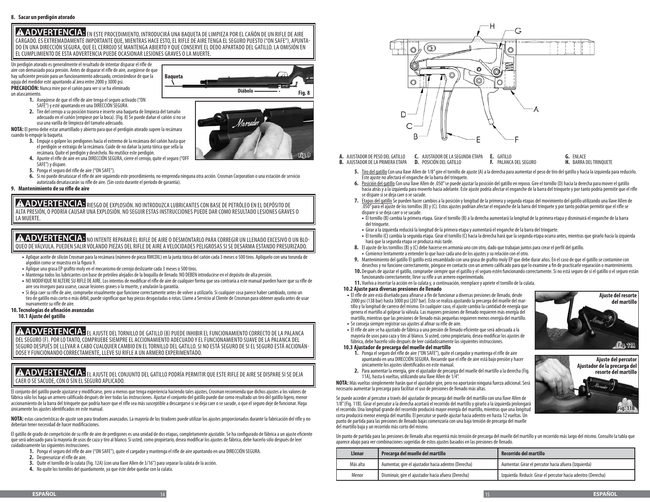ADVERTENCIA: EN ESTE PROCEDIMIENTO, INTRODUCIRÁ UNA BAQUETA DE LIMPIEZA POR EL CAÑÓN DE UN RIFLE DE AIRE CARGADO. ES EXTREMADAMENTE IMPORTANTE QUE, MIENTRAS HACE ESTO, EL RIFLE DE AIRE TENGA EL SEGURO PUESTO ("ON SAFE"), APUNTA-DO EN UNA DIRECCIÓN SEGURA, QUE EL CERROJO SE MANTENGA ABIERTO Y QUE CONSERVE EL DEDO APARTADO DEL GATILLO. LA OMISIÓN EN EL CUMPLIMIENTO DE ESTA ADVERTENCIA PUEDE OCASIONAR LESIONES GRAVES O LA MUERTE.

**Baqueta**

Un perdigón atorado es generalmente el resultado de intentar disparar el rifle de aire con demasiado poca presión. Antes de disparar el rifle de aire, asegúrese de que hay suficiente presión para un funcionamiento adecuado, cerciorándose de que la aguja del medidor esté apuntando al área entre 2000 y 3000 psi. **PRECAUCIÓN:** Nunca mire por el cañón para ver si se ha eliminado

un atascamiento.

- **1.** Asegúrese de que el rifle de aire tenga el seguro activado ("ON SAFE") y esté apuntando en una DIRECCIÓN SEGURA.
- **2.** Tire del cerrojo a su posición trasera e inserte una baqueta de limpieza del tamaño adecuado en el cañón (empiece por la boca). (Fig. 8) Se puede dañar el cañón si no se usa una varilla de limpieza del tamaño adecuado.

**NOTA:** El perno debe estar amartillado y abierto para que el perdigón atorado supere la recámara cuando lo empuje la baqueta.

- **3.** Empuje o golpee los perdigones hacia el extremo de la recámara del cañón hasta que el perdigón se extraiga de la recámara. Cuide de no dañar la junta tórica que sella la recámara. Quite el perdigón y deséchelo. No reutilice este perdigón.
- **4.** Apunte el rifle de aire en una DIRECCIÓN SEGURA, cierre el cerrojo, quite el seguro ("OFF SAFE") y dispare.
- **5.** Ponga el seguro del rifle de aire ("ON SAFE").
- **6.** Si no puede desatascar el rifle de aire siguiendo este procedimiento, no emprenda ninguna otra acción. Crosman Corporation o una estación de servicio autorizada desatascarán su rifle de aire. (Sin costo durante el período de garantía).

**9. Mantenimiento de su rifle de aire**

**A ADVERTENCIA:** RIESGO DE EXPLOSIÓN. NO INTRODUZCA LUBRICANTES CON BASE DE PETRÓLEO EN EL DEPÓSITO DE ALTA PRESIÓN, O PODRÍA CAUSAR UNA EXPLOSIÓN. NO SEGUIR ESTAS INSTRUCCIONES PUEDE DAR COMO RESULTADO LESIONES GRAVES O LA MUERTE.

A ADVERTENCIA: NO INTENTE REPARAR EL RIFLE DE AIRE O DESMONTARLO PARA CORREGIR UN LLENADO EXCESIVO O UN BLO-QUEO DE VÁLVULA. PUEDEN SALIR VOLANDO PIEZAS DEL RIFLE DE AIRE A VELOCIDADES PELIGROSAS SI SE DESARMA ESTANDO PRESURIZADO.

- **•** Aplique aceite de silicón Crosman para la recámara (número de pieza RMCOIL) en la junta tórica del cañón cada 3 meses o 500 tiros. Aplíquelo con una torunda de algodón como se muestra en la figura 9.
- **•** Aplique una grasa EP grafito moly en el mecanismo de cerrojo deslizante cada 3 meses o 500 tiros.
- **•** Mantenga todos los lubricantes con base de petróleo alejados de la boquilla de llenado. NO DEBEN introducirse en el depósito de alta presión.
- **•** NO MODIFIQUE NI ALTERE SU RIFLE DE AIRE. Los intentos de modificar el rifle de aire de cualquier forma que sea contraria a este manual pueden hacer que su rifle de aire sea inseguro para usarse, causar lesiones graves o la muerte, y anularán la garantía.
- **•** Si deja caer su rifle de aire, compruebe visualmente que funcione correctamente antes de volver a utilizarlo. Si cualquier cosa parece haber cambiado, como un tiro de gatillo más corto o más débil, puede significar que hay piezas desgastadas o rotas. Llame a Servicio al Cliente de Crosman para obtener ayuda antes de usar nuevamente su rifle de aire.

**10.Tecnologías de afinación avanzadas**

# **10.1 Ajuste del gatillo**

**A ADVERTENCIA:** EL AJUSTE DEL TORNILLO DE GATILLO (B) PUEDE INHIBIR EL FUNCIONAMIENTO CORRECTO DE LA PALANCA DEL SEGURO (F). POR LO TANTO, COMPRUEBE SIEMPRE EL ACCIONAMIENTO ADECUADO Y EL FUNCIONAMIENTO SUAVE DE LA PALANCA DEL SEGURO DESPUÉS DE LLEVAR A CABO CUALQUIER CAMBIO EN EL TORNILLO DEL GATILLO. SI NO ESTÁ SEGURO DE SI EL SEGURO ESTÁ ACCIONÁN-DOSE Y FUNCIONANDO CORRECTAMENTE, LLEVE SU RIFLE A UN ARMERO EXPERIMENTADO.

**A ADVERTENCIA:** EL AJUSTE DEL CONJUNTO DEL GATILLO PODRÍA PERMITIR QUE ESTE RIFLE DE AIRE SE DISPARE SI SE DEJA CAER O SE SACUDE, CON O SIN EL SEGURO APLICADO.

El conjunto del gatillo puede ajustarse y modificarse, pero a menos que tenga experiencia haciendo tales ajustes, Crosman recomienda que dichos ajustes a los valores de fábrica sólo los haga un armero calificado después de leer todas las instrucciones. Ajustar el conjunto del gatillo puede dar como resultado un tiro del gatillo ligero, menor accionamiento de la barra del trinquete que podría hacer que el rifle sea más susceptible a descargarse si se deja caer o se sacude, o que el seguro deje de funcionar. Haga únicamente los ajustes identificados en este manual.

**NOTA:** estas características de ajuste son para tiradores avanzados. La mayoría de los tiradores puede utilizar los ajustes proporcionados durante la fabricación del rifle y no deberían tener necesidad de hacer modificaciones.

El gatillo de grado de competición de su rifle de aire de perdigones es una unidad de dos etapas, completamente ajustable. Se ha configurado de fábrica a un ajuste eficiente que será adecuado para la mayoría de usos de caza y tiro al blanco. Si usted, como propietario, desea modificar los ajustes de fábrica, debe hacerlo sólo después de leer cuidadosamente las siguientes instrucciones.

- **1.** Ponga el seguro del rifle de aire ("ON SAFE"), quite el cargador y mantenga el rifle de aire apuntando en una DIRECCIÓN SEGURA.
- 2. Despresurizar el rifle de aire.
- **3.** Quite el tornillo de la culata (Fig. 12A) (con una llave Allen de 3/16") para separar la culata de la acción.
- **4.** No quite los tornillos del guardamonte, ya que éste debe quedar con la culata.



- **Fig. 9 A.** AJUSTADOR DE PESO DEL GATILLO **C.** AJUSTADOR DE LA SEGUNDA ETAPA
- **G.** ENLACE
- **5.** Tiro del gatillo Con una llave Allen de 1/8" gire el tornillo de ajuste (A) a la derecha para aumentar el peso de tiro del gatillo y hacia la izquierda para reducirlo. Este ajuste no afectará el enganche de la barra del trinquete.
- **6.** Posición del gatillo Con una llave Allen de .050" se puede ajustar la posición del gatillo en reposo. Gire el tornillo (D) hacia la derecha para mover el gatillo hacia atrás y a la izquierda para moverlo hacia adelante. Este ajuste podría afectar el enganche de la barra del trinquete y por tanto podría permitir que el rifle se dispare si se deja caer o se sacude.

**E.** GATILLO

- **7.** Etapas del gatillo Se pueden hacer cambios a la posición y longitud de la primera y segunda etapas del movimiento del gatillo utilizando una llave Allen de .050" para el ajuste de los tornillos (B) y (C). Estos ajustes podrían afectar el enganche de la barra del trinquete y por tanto podrían permitir que el rifle se dispare si se deja caer o se sacude.
	- **•** El tornillo (B) cambia la primera etapa. Girar el tornillo (B) a la derecha aumentará la longitud de la primera etapa y disminuirá el enganche de la barra del trinquete.
	- **•** Girar a la izquierda reducirá la longitud de la primera etapa y aumentará el enganche de la barra del trinquete.
	- **•** El tornillo (C) cambia la segunda etapa. Girar el tornillo (C) hacia la derecha hará que la segunda etapa ocurra antes, mientras que girarlo hacia la izquierda hará que la segunda etapa se produzca más tarde.
- **8.** El ajuste de los tornillos (B) y (C) debe hacerse en armonía uno con otro, dado que trabajan juntos para crear el perfil del gatillo.
- **•** Comience lentamente a entender lo que hace cada uno de los ajustes y su relación con el otro.
- **9.** Mantenimiento del gatillo El gatillo está ensamblado con una grasa de grafito moly EP que debe durar años. En el caso de que el gatillo se contamine con desechos y no funcione correctamente, póngase en contacto con un armero calificado para que lo examine a fin de practicarle reparación o mantenimiento.
- **10.** Después de ajustar el gatillo, compruebe siempre que el gatillo y el seguro estén funcionando correctamente. Si no está seguro de si el gatillo o el seguro están funcionando correctamente, lleve su rifle a un armero experimentado.
- **11.** Vuelva a insertar la acción en la culata y, a continuación, reemplace y apriete el tornillo de la culata.

# **10.2 Ajuste para diversas presiones de llenado**

- **•** El rifle de aire está diseñado para afinarse a fin de funcionar a diversas presiones de llenado, desde 2000 psi (138 bar) hasta 3000 psi (207 bar). Esto se realiza ajustando la precarga del muelle del martillo y la longitud de carrera del mismo. En cualquier caso, el ajuste cambia la cantidad de energía que genera el martillo al golpear la válvula. Las mayores presiones de llenado requieren más energía del martillo, mientras que las presiones de llenado más pequeñas requieren menos energía del martillo. **•** Se conseja siempre registrar sus ajustes al afinar su rifle de aire.
- **•** El rifle de aire se ha ajustado de fábrica a una presión de llenado eficiente que será adecuada a la
- mayoría de usos para caza y tiro al blanco. Si usted, como propietario, desea modificar los ajustes de fábrica, debe hacerlo sólo después de leer cuidadosamente las siguientes instrucciones.

# **10.3 Ajustador de precarga del muelle del martillo**

- **1.** Ponga el seguro del rifle de aire ("ON SAFE"), quite el cargador y mantenga el rifle de aire apuntando en una DIRECCIÓN SEGURA. Recuerde que el rifle de aire está bajo presión y hacer únicamente los ajustes identificados en este manual.
- **2.** Para aumentar la energía, gire el ajustador de precarga del muelle del martillo a la derecha (Fig. 11A), hasta 6 vueltas, utilizando una llave Allen de 1/4".

**NOTA:** Más vueltas simplemente harán que el ajustador gire, pero no aportarán ninguna fuerza adicional. Será necesario aumentar la precarga para facilitar el uso de presiones de llenado más altas.

Se puede acceder al percutor a través del ajustador de precarga del muelle del martillo con una llave Allen de 1/8" (Fig. 11B). Girar el percutor a la derecha acortará el recorrido del martillo y girarlo a la izquierda prolongará el recorrido. Una longitud grande del recorrido producirá mayor energía del martillo, mientras que una longitud corta producirá menor energía del martillo. El percutor se puede ajustar hacia adentro en hasta 12 vueltas. Un punto de partida para las presiones de llenado bajas comenzaría con una baja tensión de precarga del muelle del martillo baja y un recorrido más corto del mismo.

**Fig. 11A Ajuste del percutor Ajustador de la precarga del resorte del martillo**

**Ajuste del resorte del martillo**

**Fig. 11B**

Un punto de partida para las presiones de llenado altas requerirá más tensión de precarga del muelle del martillo y un recorrido más largo del mismo. Consulte la tabla que aparece abajo para ver combinaciones sugeridas de estos ajustes basados en las presiones de llenado.

| Llenar   | Precarga del muelle del martillo                    | Recorrido del martillo                                       |  |  |
|----------|-----------------------------------------------------|--------------------------------------------------------------|--|--|
| Más alta | Aumentar, gire el ajustador hacia adentro (Derecha) | Aumentar. Girar el percutor hacia afuera (Izquierda)         |  |  |
| Menor    | Disminuir, gire el ajustador hacia afuera (Derecha) | Izquierda Reducir. Girar el percutor hacia adentro (Derecha) |  |  |



**B.** AJUSTADOR DE LA PRIMERA ETAPA **D.** POSICIÓN DEL GATILLO

**F.** PALANCA DEL SEGURO **H.** BARRA DEL TRINQUETE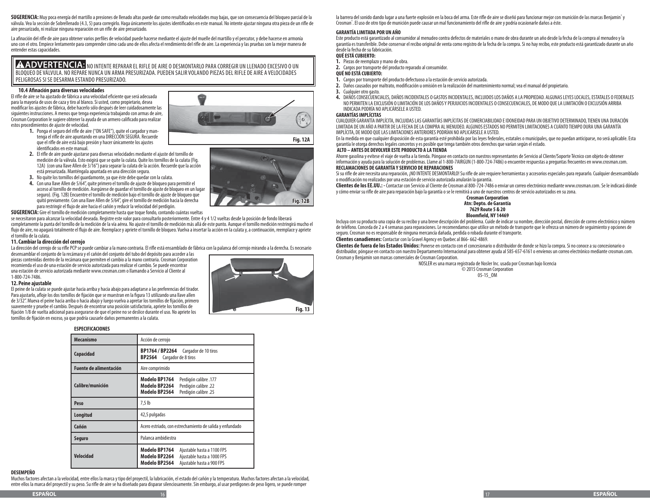**SUGERENCIA:** Muy poca energía del martillo a presiones de llenado altas puede dar como resultado velocidades muy bajas, que son consecuencia del bloqueo parcial de la válvula. Vea la sección de Sobrellenado (4.3, 5) para corregirlo. Haga únicamente los ajustes identificados en este manual. No intente ajustar ninguna otra pieza de un rifle de aire presurizado, ni realizar ninguna reparación en un rifle de aire presurizado.

La afinación del rifle de aire para obtener varios perfiles de velocidad puede hacerse mediante el ajuste del muelle del martillo y el percutor, y debe hacerse en armonía uno con el otro. Empiece lentamente para comprender cómo cada uno de ellos afecta el rendimiento del rifle de aire. La experiencia y las pruebas son la mejor manera de entender estas capacidades.

**A ADVERTENCIA:** NO INTENTE REPARAR EL RIFLE DE AIRE O DESMONTARLO PARA CORREGIR UN LLENADO EXCESIVO O UN BLOQUEO DE VÁLVULA. NO REPARE NUNCA UN ARMA PRESURIZADA. PUEDEN SALIR VOLANDO PIEZAS DEL RIFLE DE AIRE A VELOCIDADES PELIGROSAS SI SE DESARMA ESTANDO PRESURIZADO.

## **10.4 Afinación para diversas velocidades**

El rifle de aire se ha ajustado de fábrica a una velocidad eficiente que será adecuada para la mayoría de usos de caza y tiro al blanco. Si usted, como propietario, desea modificar los ajustes de fábrica, debe hacerlo sólo después de leer cuidadosamente las siguientes instrucciones. A menos que tenga experiencia trabajando con armas de aire, Crosman Corporation le sugiere obtener la ayuda de un armero calificado para realizar estos procedimientos de ajuste de velocidad. **1.** Ponga el seguro del rifle de aire ("ON SAFE"), quite el cargador y man-



- tenga el rifle de aire apuntando en una DIRECCIÓN SEGURA. Recuerde que el rifle de aire está bajo presión y hacer únicamente los ajustes identificados en este manual. **2.** El rifle de aire puede ajustarse para diversas velocidades mediante el ajuste del tornillo de
- medición de la válvula. Esto exigirá que se quite la culata. Quite los tornillos de la culata (Fig. 12A) (con una llave Allen de 3/16") para separar la culata de la acción. Recuerde que la acción está presurizada. Manténgala apuntada en una dirección segura.
- **3.** No quite los tornillos del guardamonte, ya que éste debe quedar con la culata.
- **4.** Con una llave Allen de 5/64", quite primero el tornillo de ajuste de bloqueo para permitir el acceso al tornillo de medición. Asegúrese de guardar el tornillo de ajuste de bloqueo en un lugar seguro). (Fig. 12B) Encuentre el tornillo de medición bajo el tornillo de ajuste de bloqueo que quitó previamente. Con una llave Allen de 5/64", gire el tornillo de medición hacia la derecha para restringir el flujo de aire hacia el cañón y reducir la velocidad del perdigón.

**SUGERENCIA:** Gire el tornillo de medición completamente hasta que toque fondo, contando cuántas vueltas

se necesitaron para alcanzar la velocidad deseada. Registre este valor para consultarlo posteriormente. Entre 4 y 4 1/2 vueltas desde la posición de fondo liberará completamente la punta del tornillo de la medición de la vía aérea. No ajuste el tornillo de medición más allá de este punto. Aunque el tornillo medición restringirá mucho el flujo de aire, no apagará totalmente el flujo de aire. Reemplace y apriete el tornillo de bloqueo. Vuelva a insertar la acción en la culata y, a continuación, reemplace y apriete el tornillo de la culata.

## **11.Cambiar la dirección del cerrojo**

La dirección del cerrojo de su rifle PCP se puede cambiar a la mano contraria. El rifle está ensamblado de fábrica con la palanca del cerrojo mirando a la derecha. Es necesario desensamblar el conjunto de la recámara y el cañón del conjunto del tubo del depósito para acceder a las

piezas contenidas dentro de la recámara que permiten el cambio a la mano contraria. Crosman Corporation recomienda el uso de una estación de servicio autorizada para realizar el cambio. Se puede encontrar una estación de servicio autorizada mediante www.crosman.com o llamando a Servicio al Cliente al 1-800-724-7486.

## **12. Peine ajustable**

El peine de la culata se puede ajustar hacia arriba y hacia abajo para adaptarse a las preferencias del tirador. Para ajustarlo, afloje los dos tornillos de fijación que se muestran en la figura 13 utilizando una llave allen de 3/32". Mueva el peine hacia arriba o hacia abajo y luego vuelva a apretar los tornillos de fijación, primero suavemente y pruebe el cambio. Después de encontrar una posición satisfactoria, apriete los tornillos de fijación 1/8 de vuelta adicional para asegurarse de que el peine no se deslice durante el uso. No apriete los tornillos de fijación en exceso, ya que podría causarle daños permanentes a la culata.

## **ESPECIFICACIONES**

| <b>Mecanismo</b>              | Acción de cerrojo                                                                                                                        |  |  |
|-------------------------------|------------------------------------------------------------------------------------------------------------------------------------------|--|--|
| Capacidad                     | BP1764 / BP2264 Cargador de 10 tiros<br>BP2564<br>Cargador de 8 tiros                                                                    |  |  |
| <b>Fuente de alimentación</b> | Aire comprimido                                                                                                                          |  |  |
| Calibre/munición              | Modelo BP1764<br>Perdigón calibre .177<br>Modelo BP2264<br>Perdigón calibre .22<br>Modelo BP2564<br>Perdigón calibre .25                 |  |  |
| Peso                          | 7,5 lb                                                                                                                                   |  |  |
| Longitud                      | 42,5 pulgadas                                                                                                                            |  |  |
| Cañón                         | Acero estriado, con estrechamiento de salida y enfundado                                                                                 |  |  |
| Seguro                        | Palanca ambidiestra                                                                                                                      |  |  |
| Velocidad                     | Modelo BP1764<br>Ajustable hasta a 1100 FPS<br>Modelo BP2264<br>Ajustable hasta a 1000 FPS<br>Modelo BP2564<br>Ajustable hasta a 900 FPS |  |  |

# **DESEMPEÑO**

Muchos factores afectan a la velocidad, entre ellos la marca y tipo del proyectil, la lubricación, el estado del cañón y la temperatura. Muchos factores afectan a la velocidad, entre ellos la marca del proyectil y su peso. Su rifle de aire se ha diseñado para disparar silenciosamente. Sin embargo, al usar perdigones de peso ligero, se puede romper



**Fig. 12B**

la barrera del sonido dando lugar a una fuerte explosión en la boca del arma. Este rifle de aire se diseñó para funcionar mejor con munición de las marcas Benjamin° y Crosman® . El uso de otro tipo de munición puede causar un mal funcionamiento del rifle de aire y podría ocasionarle daños a éste.

## **GARANTÍA LIMITADA POR UN AÑO**

Este producto está garantizado al consumidor al menudeo contra defectos de materiales o mano de obra durante un año desde la fecha de la compra al menudeo y la garantía es transferible. Debe conservar el recibo original de venta como registro de la fecha de la compra. Si no hay recibo, este producto está garantizado durante un año desde la fecha de su fabricación.

# **QUÉ ESTÁ CUBIERTO:**

- **1.** Piezas de reemplazo y mano de obra. **2.** Cargos por transporte del producto reparado al consumidor.
- **QUÉ NO ESTÁ CUBIERTO:**
- 
- **1.** Cargos por transporte del producto defectuoso a la estación de servicio autorizada. **2.** Daños causados por maltrato, modificación u omisión en la realización del mantenimiento normal; vea el manual del propietario.
- **3.** Cualquier otro gasto.
- **4.** DAÑOS CONSECUENCIALES, DAÑOS INCIDENTALES O GASTOS INCIDENTALES, INCLUIDOS LOS DAÑOS A LA PROPIEDAD. ALGUNAS LEYES LOCALES, ESTATALES O FEDERALES NO PERMITEN LA EXCLUSIÓN O LIMITACIÓN DE LOS DAÑOS Y PERJUICIOS INCIDENTALES O CONSECUENCIALES, DE MODO QUE LA LIMITACIÓN O EXCLUSIÓN ARRIBA INDICADA PODRÍA NO APLICÁRSELE A USTED.

## **GARANTÍAS IMPLÍCITAS**

CUALQUIER GARANTÍA IMPLÍCITA, INCLUIDAS LAS GARANTÍAS IMPLÍCITAS DE COMERCIABILIDAD E IDONEIDAD PARA UN OBJETIVO DETERMINADO, TIENEN UNA DURACIÓN LIMITADA DE UN AÑO A PARTIR DE LA FECHA DE LA COMPRA AL MENUDEO. ALGUNOS ESTADOS NO PERMITEN LIMITACIONES A CUÁNTO TIEMPO DURA UNA GARANTÍA IMPLÍCITA, DE MODO QUE LAS LIMITACIONES ANTERIORES PODRÍAN NO APLICÁRSELE A USTED.

En la medida en que cualquier disposición de esta garantía esté prohibida por las leyes federales, estatales o municipales, que no puedan anticiparse, no será aplicable. Esta garantía le otorga derechos legales concretos y es posible que tenga también otros derechos que varían según el estado.

## **ALTO – ANTES DE DEVOLVER ESTE PRODUCTO A LA TIENDA**

Ahorre gasolina y evítese el viaje de vuelta a la tienda. Póngase en contacto con nuestros representantes de Servicio al Cliente/Soporte Técnico con objeto de obtener información y ayuda para la solución de problemas. Llame al 1-800-7AIRGUN (1-800-724-7486) o encuentre respuestas a preguntas frecuentes en www.crosman.com. **RECLAMACIONES DE GARANTÍA Y SERVICIO DE REPARACIONES**

Si su rifle de aire necesita una reparación, ¡NO INTENTE DESMONTARLO! Su rifle de aire requiere herramientas y accesorios especiales para repararlo. Cualquier desensamblado o modificación no realizados por una estación de servicio autorizada anularán la garantía.

**Clientes de los EE.UU.: -** Contactar con Servicio al Cliente de Crosman al 800-724-7486 o enviar un correo electrónico mediante www.crosman.com. Se le indicará dónde y cómo enviar su rifle de aire para reparación bajo la garantía o se le remitirá a uno de nuestros centros de servicio autorizados en su zona.

**Crosman Corporation Atn: Depto. de Garantía 7629 Route 5 & 20 Bloomfield, NY 14469**

Incluya con su producto una copia de su recibo y una breve descripción del problema. Cuide de indicar su nombre, dirección postal, dirección de correo electrónico y número de teléfono. Conceda de 2 a 4 semanas para reparaciones. Le recomendamos que utilice un método de transporte que le ofrezca un número de seguimiento y opciones de seguro. Crosman no es responsable de ninguna mercancía dañada, perdida o robada durante el transporte. **Clientes canadienses:** Contactar con la Gravel Agency en Quebec al 866- 662-4869.

**Clientes de fuera de los Estados Unidos:** Ponerse en contacto con el concesionario o distribuidor de donde se hizo la compra. Si no conoce a su concesionario o distribuidor, póngase en contacto con nuestro Departamento Internacional para obtener ayuda al 585-657-6161 o envíenos un correo electrónico mediante crosman.com. Crosman y Benjamin son marcas comerciales de Crosman Corporation.

NOSLER es una marca registrada de Nosler Inc. usada por Crosman bajo licencia © 2015 Crosman Corporation

05-15\_OM